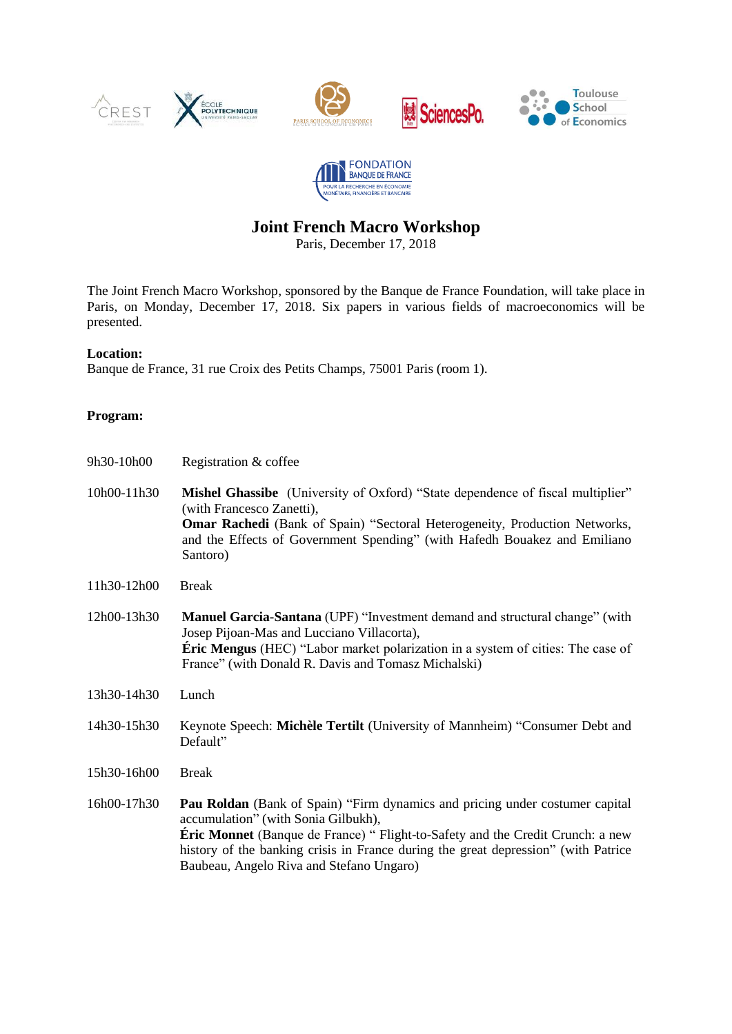



# **Joint French Macro Workshop**

Paris, December 17, 2018

The Joint French Macro Workshop, sponsored by the Banque de France Foundation, will take place in Paris, on Monday, December 17, 2018. Six papers in various fields of macroeconomics will be presented.

# **Location:**

Banque de France, 31 rue Croix des Petits Champs, 75001 Paris (room 1).

# **Program:**

| 9h30-10h00  | Registration & coffee                                                                                                                                                                                                                                                                                                                                 |
|-------------|-------------------------------------------------------------------------------------------------------------------------------------------------------------------------------------------------------------------------------------------------------------------------------------------------------------------------------------------------------|
| 10h00-11h30 | <b>Mishel Ghassibe</b> (University of Oxford) "State dependence of fiscal multiplier"<br>(with Francesco Zanetti),<br><b>Omar Rachedi</b> (Bank of Spain) "Sectoral Heterogeneity, Production Networks,<br>and the Effects of Government Spending" (with Hafedh Bouakez and Emiliano<br>Santoro)                                                      |
| 11h30-12h00 | <b>Break</b>                                                                                                                                                                                                                                                                                                                                          |
| 12h00-13h30 | Manuel Garcia-Santana (UPF) "Investment demand and structural change" (with<br>Josep Pijoan-Mas and Lucciano Villacorta),<br><b>Éric Mengus</b> (HEC) "Labor market polarization in a system of cities: The case of<br>France" (with Donald R. Davis and Tomasz Michalski)                                                                            |
| 13h30-14h30 | Lunch                                                                                                                                                                                                                                                                                                                                                 |
| 14h30-15h30 | Keynote Speech: Michèle Tertilt (University of Mannheim) "Consumer Debt and<br>Default"                                                                                                                                                                                                                                                               |
| 15h30-16h00 | <b>Break</b>                                                                                                                                                                                                                                                                                                                                          |
| 16h00-17h30 | <b>Pau Roldan</b> (Bank of Spain) "Firm dynamics and pricing under costumer capital<br>accumulation" (with Sonia Gilbukh),<br><b>Éric Monnet</b> (Banque de France) " Flight-to-Safety and the Credit Crunch: a new<br>history of the banking crisis in France during the great depression" (with Patrice<br>Baubeau, Angelo Riva and Stefano Ungaro) |